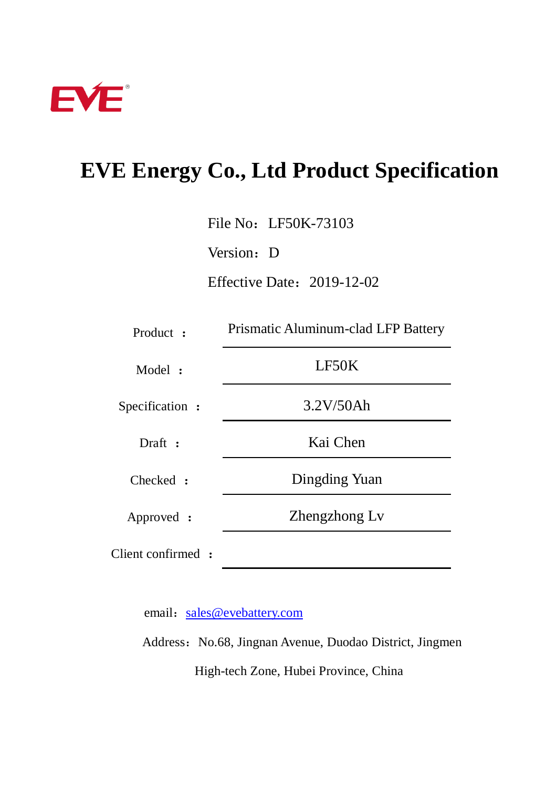

# **EVE Energy Co., Ltd Product Specification**

File No: LF50K-73103

Version: D

Effective Date:2019-12-02

| Product :          | Prismatic Aluminum-clad LFP Battery |  |  |
|--------------------|-------------------------------------|--|--|
| Model:             | LF50K                               |  |  |
| Specification:     | 3.2V/50Ah                           |  |  |
| Draft:             | Kai Chen                            |  |  |
| Checked :          | Dingding Yuan                       |  |  |
| Approved :         | Zhengzhong Ly                       |  |  |
| Client confirmed : |                                     |  |  |

email: [sales@evebattery.com](mailto:sales@evebattery.com)

Address: No.68, Jingnan Avenue, Duodao District, Jingmen High-tech Zone, Hubei Province, China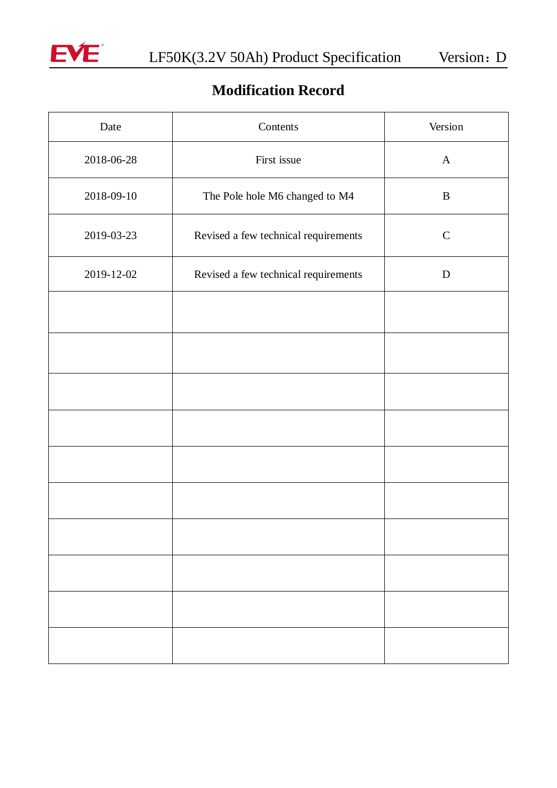

# **Modification Record**

| Date       | Contents                             | Version      |
|------------|--------------------------------------|--------------|
| 2018-06-28 | First issue                          | $\mathbf{A}$ |
| 2018-09-10 | The Pole hole M6 changed to M4       | $\bf{B}$     |
| 2019-03-23 | Revised a few technical requirements | $\mathbf C$  |
| 2019-12-02 | Revised a few technical requirements | D            |
|            |                                      |              |
|            |                                      |              |
|            |                                      |              |
|            |                                      |              |
|            |                                      |              |
|            |                                      |              |
|            |                                      |              |
|            |                                      |              |
|            |                                      |              |
|            |                                      |              |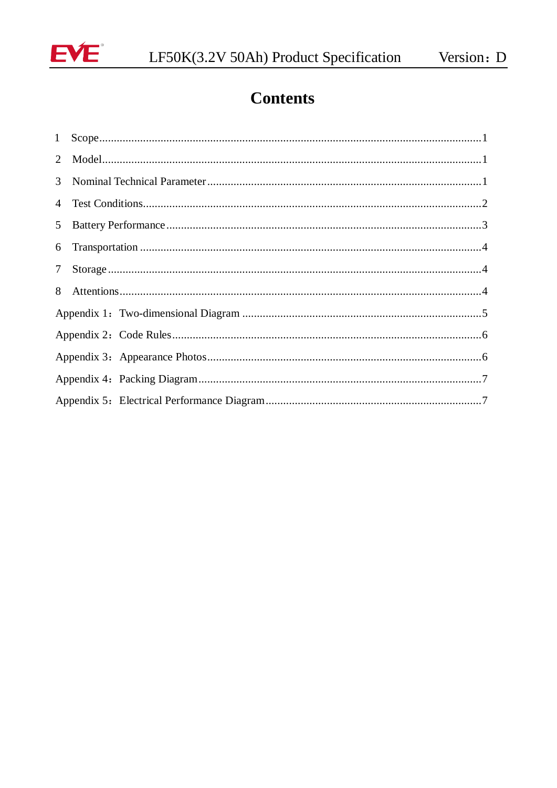

# **Contents**

| 7 <sup>7</sup> |  |  |  |  |  |
|----------------|--|--|--|--|--|
|                |  |  |  |  |  |
|                |  |  |  |  |  |
|                |  |  |  |  |  |
|                |  |  |  |  |  |
|                |  |  |  |  |  |
|                |  |  |  |  |  |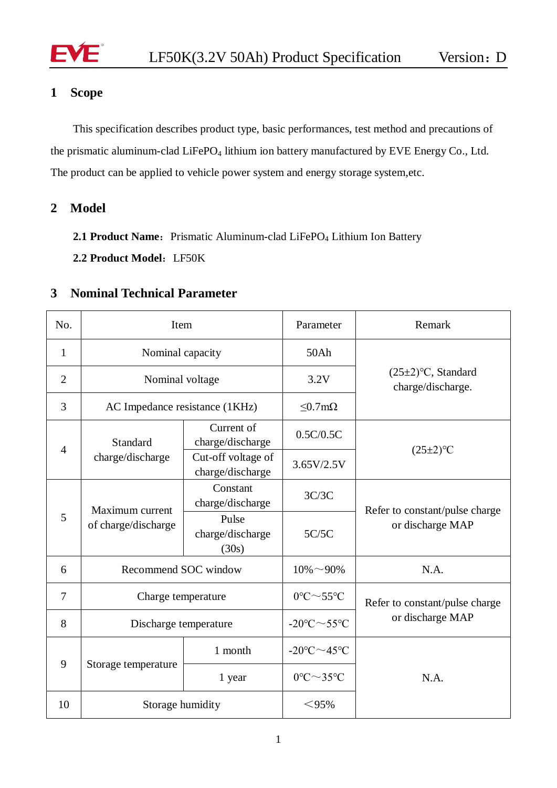

# <span id="page-3-0"></span>**1 Scope**

<span id="page-3-1"></span>This specification describes product type, basic performances, test method and precautions of the prismatic aluminum-clad LiFePO<sub>4</sub> lithium ion battery manufactured by EVE Energy Co., Ltd. The product can be applied to vehicle power system and energy storage system,etc.

**2 Model**

2.1 **Product Name:** Prismatic Aluminum-clad LiFePO<sub>4</sub> Lithium Ion Battery

**2.2 Product Model**:LF50K

#### <span id="page-3-2"></span>**3 Nominal Technical Parameter**

| No.            | Item                                   |                                        | Parameter                            | Remark                                             |
|----------------|----------------------------------------|----------------------------------------|--------------------------------------|----------------------------------------------------|
| $\mathbf{1}$   | Nominal capacity                       |                                        | 50Ah                                 |                                                    |
| $\overline{2}$ | Nominal voltage                        |                                        | 3.2V                                 | $(25\pm2)$ °C, Standard<br>charge/discharge.       |
| 3              | AC Impedance resistance (1KHz)         |                                        | $< 0.7$ m $\Omega$                   |                                                    |
| 4              | Standard<br>charge/discharge           | Current of<br>charge/discharge         | 0.5C/0.5C                            |                                                    |
|                |                                        | Cut-off voltage of<br>charge/discharge | 3.65V/2.5V                           | $(25\pm2)$ <sup>o</sup> C                          |
| 5              | Maximum current<br>of charge/discharge | Constant<br>charge/discharge           | 3C/3C                                | Refer to constant/pulse charge<br>or discharge MAP |
|                |                                        | Pulse<br>charge/discharge<br>(30s)     | 5C/5C                                |                                                    |
| 6              | Recommend SOC window                   |                                        | $10\% \sim 90\%$                     | N.A.                                               |
| 7              | Charge temperature                     |                                        | $0^{\circ}C \sim 55^{\circ}C$        | Refer to constant/pulse charge                     |
| 8              | Discharge temperature                  |                                        | $-20^{\circ}$ C $\sim$ 55°C          | or discharge MAP                                   |
| 9              | Storage temperature                    | 1 month                                | $-20^{\circ}$ C $\sim$ 45°C          | N.A.                                               |
|                |                                        | 1 year                                 | $0^{\circ}$ C $\sim$ 35 $^{\circ}$ C |                                                    |
| 10             | Storage humidity                       |                                        | $<$ 95%                              |                                                    |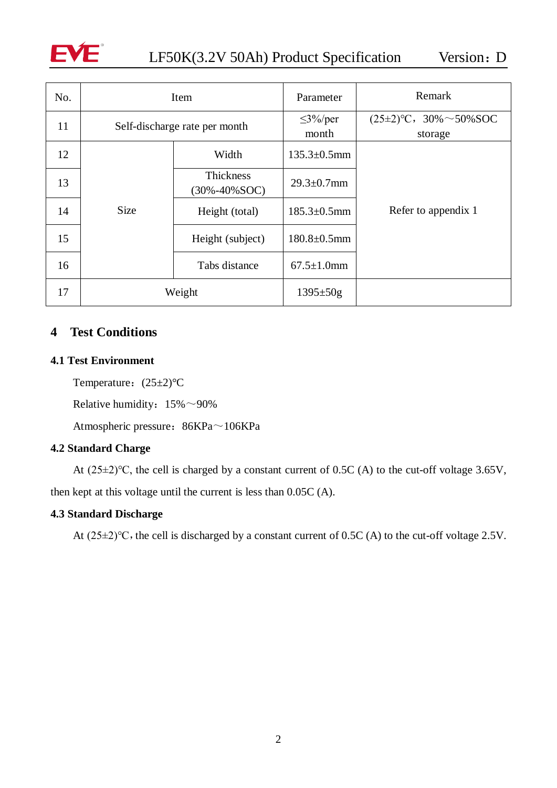

<span id="page-4-0"></span>

| No. | Item                          |                                         | Parameter              | Remark                                 |
|-----|-------------------------------|-----------------------------------------|------------------------|----------------------------------------|
| 11  | Self-discharge rate per month |                                         | $\leq$ 3%/per<br>month | $(25\pm2)$ °C, 30% ~50% SOC<br>storage |
| 12  |                               | Width                                   | $135.3 + 0.5$ mm       |                                        |
| 13  |                               | <b>Thickness</b><br>$(30\% - 40\% SOC)$ | $29.3 \pm 0.7$ mm      |                                        |
| 14  | <b>Size</b>                   | Height (total)                          | $185.3 + 0.5$ mm       | Refer to appendix 1                    |
| 15  |                               | Height (subject)                        | $180.8 \pm 0.5$ mm     |                                        |
| 16  |                               | Tabs distance                           | $67.5 \pm 1.0$ mm      |                                        |
| 17  | Weight                        |                                         | $1395 \pm 50g$         |                                        |

## **4 Test Conditions**

#### **4.1 Test Environment**

Temperature:  $(25±2)$ °C

Relative humidity:  $15\% \sim 90\%$ 

Atmospheric pressure: 86KPa~106KPa

#### **4.2 Standard Charge**

At (25±2)℃, the cell is charged by a constant current of 0.5C (A) to the cut-off voltage 3.65V, then kept at this voltage until the current is less than 0.05C (A).

#### **4.3 Standard Discharge**

<span id="page-4-1"></span>At  $(25\pm2)$ °C, the cell is discharged by a constant current of 0.5C (A) to the cut-off voltage 2.5V.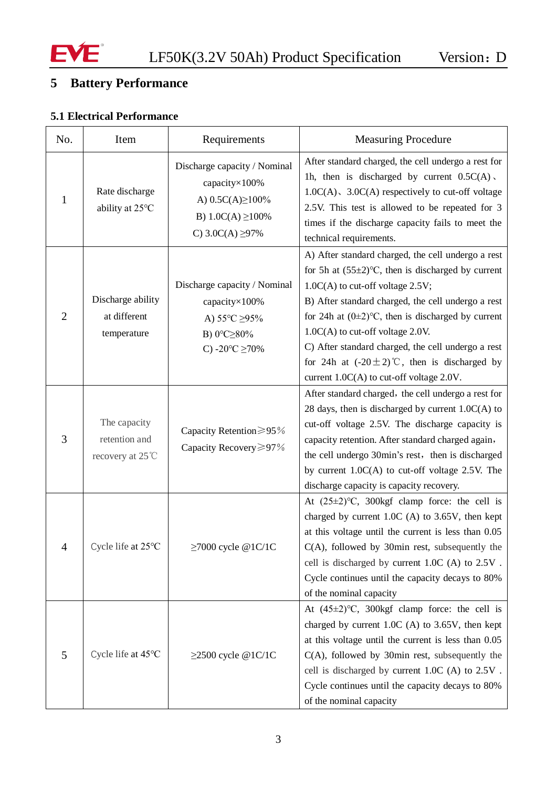

# **5 Battery Performance**

# **5.1 Electrical Performance**

| No.            | Item                                             | Requirements                                                                                                                     | <b>Measuring Procedure</b>                                                                                                                                                                                                                                                                                                                                                                                                                                        |  |
|----------------|--------------------------------------------------|----------------------------------------------------------------------------------------------------------------------------------|-------------------------------------------------------------------------------------------------------------------------------------------------------------------------------------------------------------------------------------------------------------------------------------------------------------------------------------------------------------------------------------------------------------------------------------------------------------------|--|
| $\mathbf{1}$   | Rate discharge<br>ability at 25°C                | Discharge capacity / Nominal<br>capacity×100%<br>A) $0.5C(A) \ge 100\%$<br>B) $1.0C(A) \ge 100\%$<br>C) $3.0C(A) \geq 97\%$      | After standard charged, the cell undergo a rest for<br>1h, then is discharged by current $0.5C(A)$ .<br>$1.0C(A)$ , $3.0C(A)$ respectively to cut-off voltage<br>2.5V. This test is allowed to be repeated for 3<br>times if the discharge capacity fails to meet the<br>technical requirements.                                                                                                                                                                  |  |
| $\overline{2}$ | Discharge ability<br>at different<br>temperature | Discharge capacity / Nominal<br>capacity×100%<br>A) $55^{\circ}$ C $\geq$ 95%<br>B) 0°C≥80%<br>C) -20 $\textdegree$ C $\geq$ 70% | A) After standard charged, the cell undergo a rest<br>for 5h at $(55\pm2)$ °C, then is discharged by current<br>$1.0C(A)$ to cut-off voltage 2.5V;<br>B) After standard charged, the cell undergo a rest<br>for 24h at $(0\pm 2)$ °C, then is discharged by current<br>$1.0C(A)$ to cut-off voltage 2.0V.<br>C) After standard charged, the cell undergo a rest<br>for 24h at $(-20 \pm 2)$ °C, then is discharged by<br>current 1.0C(A) to cut-off voltage 2.0V. |  |
| 3              | The capacity<br>retention and<br>recovery at 25℃ | Capacity Retention≥95%<br>Capacity Recovery≥97%                                                                                  | After standard charged, the cell undergo a rest for<br>28 days, then is discharged by current $1.0C(A)$ to<br>cut-off voltage 2.5V. The discharge capacity is<br>capacity retention. After standard charged again,<br>the cell undergo 30min's rest, then is discharged<br>by current $1.0C(A)$ to cut-off voltage 2.5V. The<br>discharge capacity is capacity recovery.                                                                                          |  |
| $\Delta$       | Cycle life at 25°C                               | ≥7000 cycle @1C/1C                                                                                                               | At $(25\pm2)$ °C, 300kgf clamp force: the cell is<br>charged by current $1.0C$ (A) to $3.65V$ , then kept<br>at this voltage until the current is less than 0.05<br>$C(A)$ , followed by 30min rest, subsequently the<br>cell is discharged by current 1.0C (A) to 2.5V.<br>Cycle continues until the capacity decays to 80%<br>of the nominal capacity                                                                                                           |  |
| 5              | Cycle life at 45°C                               | $\geq$ 2500 cycle @1C/1C                                                                                                         | At $(45\pm2)$ °C, 300kgf clamp force: the cell is<br>charged by current $1.0C$ (A) to 3.65V, then kept<br>at this voltage until the current is less than 0.05<br>$C(A)$ , followed by 30 $min$ rest, subsequently the<br>cell is discharged by current 1.0C (A) to 2.5V.<br>Cycle continues until the capacity decays to 80%<br>of the nominal capacity                                                                                                           |  |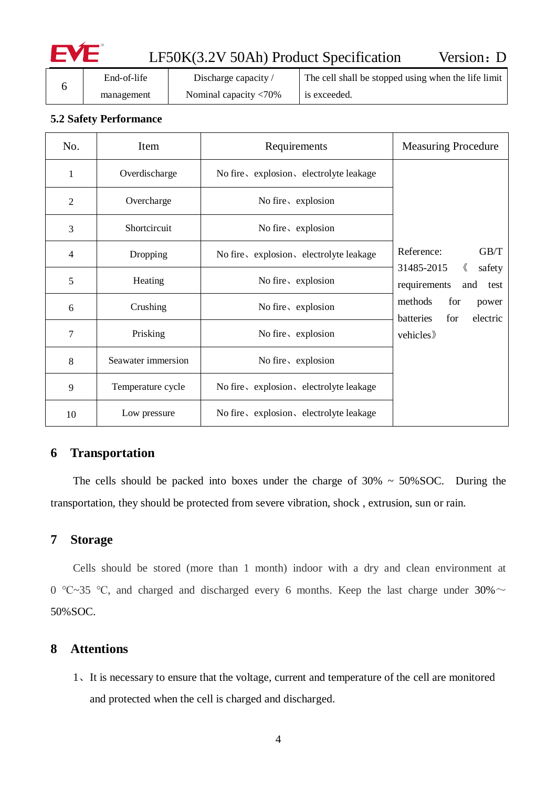# LF50K(3.2V 50Ah) Product Specification Version: D

|  | End-of-life | Discharge capacity /            | The cell shall be stopped using when the life limit |
|--|-------------|---------------------------------|-----------------------------------------------------|
|  | management  | Nominal capacity $\langle 70\%$ | is exceeded.                                        |

#### **5.2 Safety Performance**

| No.            | Item               | Requirements                            | <b>Measuring Procedure</b>                                     |
|----------------|--------------------|-----------------------------------------|----------------------------------------------------------------|
| 1              | Overdischarge      | No fire, explosion, electrolyte leakage |                                                                |
| 2              | Overcharge         | No fire, explosion                      |                                                                |
| 3              | Shortcircuit       | No fire, explosion                      |                                                                |
| $\overline{4}$ | Dropping           | No fire, explosion, electrolyte leakage | GB/T<br>Reference:                                             |
| 5              | Heating            | No fire, explosion                      | 31485-2015<br>《<br>safety<br>requirements<br>and<br>test       |
| 6              | Crushing           | No fire, explosion                      | methods<br>for<br>power<br>for<br>electric<br><b>batteries</b> |
| 7              | Prisking           | No fire, explosion                      | vehicles                                                       |
| 8              | Seawater immersion | No fire, explosion                      |                                                                |
| 9              | Temperature cycle  | No fire, explosion, electrolyte leakage |                                                                |
| 10             | Low pressure       | No fire, explosion, electrolyte leakage |                                                                |

## <span id="page-6-0"></span>**6 Transportation**

The cells should be packed into boxes under the charge of  $30\% \sim 50\%$  SOC. During the transportation, they should be protected from severe vibration, shock , extrusion, sun or rain.

## <span id="page-6-1"></span>**7 Storage**

Cells should be stored (more than 1 month) indoor with a dry and clean environment at 0 °C~35 °C, and charged and discharged every 6 months. Keep the last charge under 30%  $\sim$ 50%SOC.

#### <span id="page-6-2"></span>**8 Attentions**

1、It is necessary to ensure that the voltage, current and temperature of the cell are monitored and protected when the cell is charged and discharged.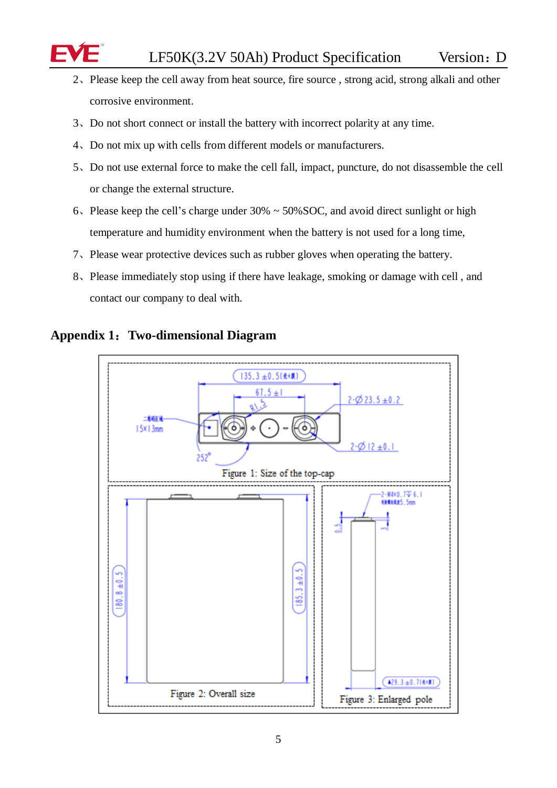- 2、Please keep the cell away from heat source, fire source , strong acid, strong alkali and other corrosive environment.
- 3、Do not short connect or install the battery with incorrect polarity at any time.
- 4、Do not mix up with cells from different models or manufacturers.
- 5、Do not use external force to make the cell fall, impact, puncture, do not disassemble the cell or change the external structure.
- 6、Please keep the cell's charge under 30% ~ 50%SOC, and avoid direct sunlight or high temperature and humidity environment when the battery is not used for a long time,
- 7、Please wear protective devices such as rubber gloves when operating the battery.
- 8、Please immediately stop using if there have leakage, smoking or damage with cell , and contact our company to deal with.



## <span id="page-7-0"></span>**Appendix 1**:**Two-dimensional Diagram**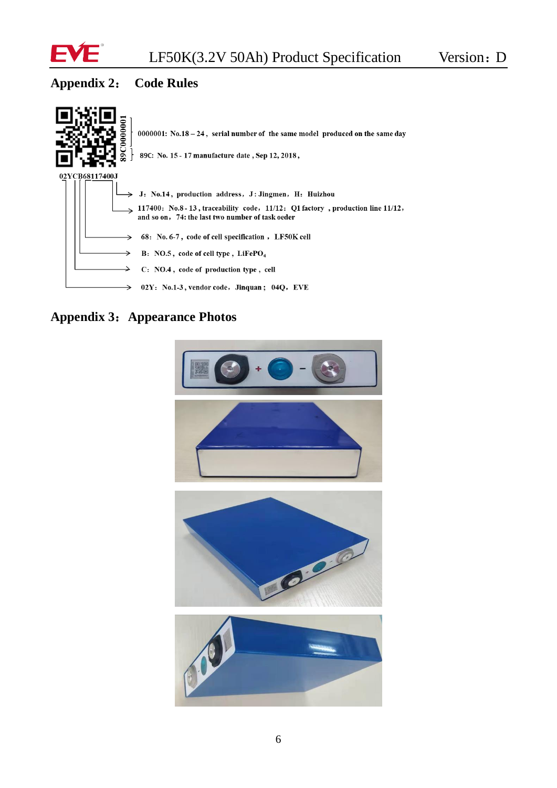

# <span id="page-8-0"></span>**Appendix 2**: **Code Rules**



**Appendix 3**:**Appearance Photos**